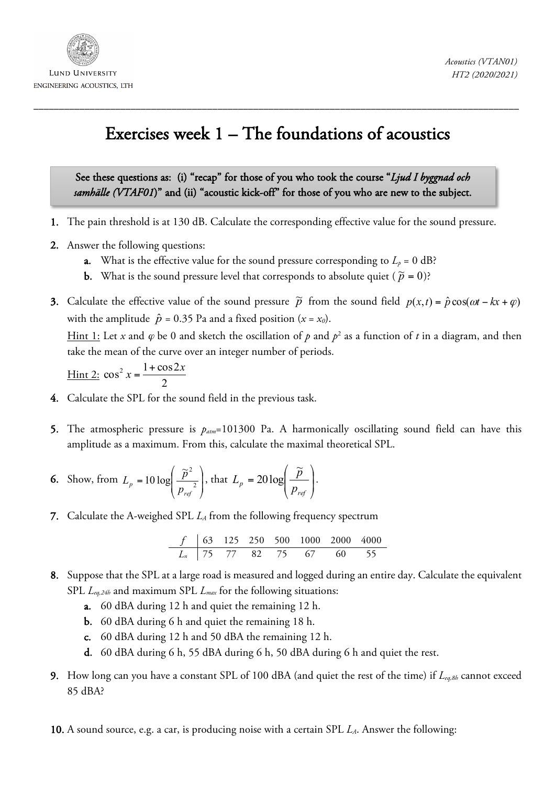

## Exercises week 1 – The foundations of acoustics

\_\_\_\_\_\_\_\_\_\_\_\_\_\_\_\_\_\_\_\_\_\_\_\_\_\_\_\_\_\_\_\_\_\_\_\_\_\_\_\_\_\_\_\_\_\_\_\_\_\_\_\_\_\_\_\_\_\_\_\_\_\_\_\_\_\_\_\_\_\_\_\_\_\_\_\_\_\_\_\_\_\_\_\_\_\_\_\_\_\_\_\_\_\_\_

See these questions as: (i) "recap" for those of you who took the course "*Ljud I byggnad och samhälle (VTAF01*)" and (ii) "acoustic kick-off" for those of you who are new to the subject.

- 1. The pain threshold is at 130 dB. Calculate the corresponding effective value for the sound pressure.
- 2. Answer the following questions:
	- a. What is the effective value for the sound pressure corresponding to  $L_p = 0$  dB?
	- **b.** What is the sound pressure level that corresponds to absolute quiet ( $\tilde{p} = 0$ )?
- 3. Calculate the effective value of the sound pressure  $\tilde{p}$  from the sound field  $p(x,t) = \hat{p} \cos(\omega t kx + \varphi)$ with the amplitude  $\hat{p} = 0.35$  Pa and a fixed position  $(x = x_0)$ .

Hint 1: Let *x* and  $\varphi$  be 0 and sketch the oscillation of  $p$  and  $p^2$  as a function of *t* in a diagram, and then take the mean of the curve over an integer number of periods.

$$
\frac{\text{Hint 2: } \cos^2 x = \frac{1 + \cos 2x}{2}}{2}
$$

- 4. Calculate the SPL for the sound field in the previous task.
- 5. The atmospheric pressure is *patm*=101300 Pa. A harmonically oscillating sound field can have this amplitude as a maximum. From this, calculate the maximal theoretical SPL.

**6.** Show, from 
$$
L_p = 10 \log \left( \frac{\tilde{p}^2}{p_{ref}^2} \right)
$$
, that  $L_p = 20 \log \left( \frac{\tilde{p}}{p_{ref}} \right)$ .

7. Calculate the A-weighed SPL *LA* from the following frequency spectrum

| $f$   | 63 | 125 | 250 | 500 | 1000 | 2000 | 4000 |
|-------|----|-----|-----|-----|------|------|------|
| $L_n$ | 75 | 77  | 82  | 75  | 67   | 60   | 55   |

- 8. Suppose that the SPL at a large road is measured and logged during an entire day. Calculate the equivalent SPL *Leq,24h* and maximum SPL *Lmax* for the following situations:
	- a. 60 dBA during 12 h and quiet the remaining 12 h.
	- b. 60 dBA during 6 h and quiet the remaining 18 h.
	- c. 60 dBA during 12 h and 50 dBA the remaining 12 h.
	- d. 60 dBA during 6 h, 55 dBA during 6 h, 50 dBA during 6 h and quiet the rest.
- 9. How long can you have a constant SPL of 100 dBA (and quiet the rest of the time) if *Leq,8h* cannot exceed 85 dBA?
- 10. A sound source, e.g. a car, is producing noise with a certain SPL *LA*. Answer the following: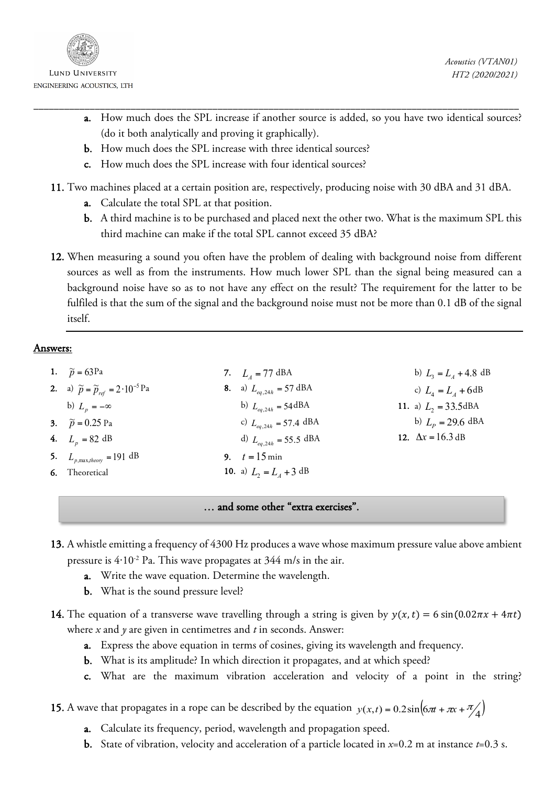

**LUND UNIVERSITY** 

- a. How much does the SPL increase if another source is added, so you have two identical sources? (do it both analytically and proving it graphically).
- b. How much does the SPL increase with three identical sources?
- c. How much does the SPL increase with four identical sources?

11. Two machines placed at a certain position are, respectively, producing noise with 30 dBA and 31 dBA.

\_\_\_\_\_\_\_\_\_\_\_\_\_\_\_\_\_\_\_\_\_\_\_\_\_\_\_\_\_\_\_\_\_\_\_\_\_\_\_\_\_\_\_\_\_\_\_\_\_\_\_\_\_\_\_\_\_\_\_\_\_\_\_\_\_\_\_\_\_\_\_\_\_\_\_\_\_\_\_\_\_\_\_\_\_\_\_\_\_\_\_\_\_\_\_

- a. Calculate the total SPL at that position.
- b. A third machine is to be purchased and placed next the other two. What is the maximum SPL this third machine can make if the total SPL cannot exceed 35 dBA?
- 12. When measuring a sound you often have the problem of dealing with background noise from different sources as well as from the instruments. How much lower SPL than the signal being measured can a background noise have so as to not have any effect on the result? The requirement for the latter to be fulfiled is that the sum of the signal and the background noise must not be more than 0.1 dB of the signal itself.

## Answers:

| 1. $\widetilde{p} = 63$ Pa                                      | 7. $L_4 = 77 \text{ dBA}$                  | b) $L_3 = L_4 + 4.8$ dB          |
|-----------------------------------------------------------------|--------------------------------------------|----------------------------------|
| <b>2.</b> a) $\tilde{p} = \tilde{p}_{ref} = 2 \cdot 10^{-5}$ Pa | <b>8.</b> a) $L_{ea,24h} = 57 \text{ dBA}$ | c) $L_{4} = L_{4} + 6dB$         |
| b) $L_n = -\infty$                                              | b) $L_{eq,24h} = 54 \text{dBA}$            | 11. a) $L_2 = 33.5 \text{dBA}$   |
| 3. $\widetilde{p} = 0.25$ Pa                                    | c) $L_{eq,24h} = 57.4 \text{ dBA}$         | b) $L_p = 29.6$ dBA              |
| 4. $L_n = 82 \text{ dB}$                                        | d) $L_{eq,24h} = 55.5 \text{ dBA}$         | 12. $\Delta x = 16.3 \text{ dB}$ |
| 5. $L_{p, \max, theory} = 191 \text{ dB}$                       | 9. $t = 15 \text{ min}$                    |                                  |
| <b>6.</b> Theoretical                                           | 10. a) $L_2 = L_4 + 3$ dB                  |                                  |

## … and some other "extra exercises".

- 13. A whistle emitting a frequency of 4300 Hz produces a wave whose maximum pressure value above ambient pressure is 4⋅10<sup>-2</sup> Pa. This wave propagates at 344 m/s in the air.
	- a. Write the wave equation. Determine the wavelength.
	- b. What is the sound pressure level?
- 14. The equation of a transverse wave travelling through a string is given by  $y(x,t) = 6 \sin(0.02\pi x + 4\pi t)$ where *x* and *y* are given in centimetres and *t* in seconds. Answer:
	- a. Express the above equation in terms of cosines, giving its wavelength and frequency.
	- b. What is its amplitude? In which direction it propagates, and at which speed?
	- c. What are the maximum vibration acceleration and velocity of a point in the string?

15. A wave that propagates in a rope can be described by the equation  $y(x,t) = 0.2\sin{\left(\frac{6\pi t}{\pi x} + \frac{\pi}{4}\right)}$ 

- a. Calculate its frequency, period, wavelength and propagation speed.
- b. State of vibration, velocity and acceleration of a particle located in *x*=0.2 m at instance *t*=0.3 s.